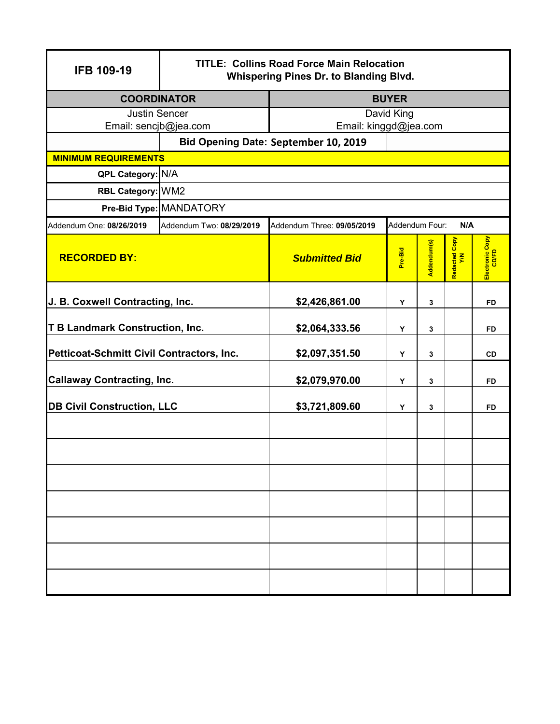| <b>IFB 109-19</b>                         | <b>TITLE: Collins Road Force Main Relocation</b><br><b>Whispering Pines Dr. to Blanding Blvd.</b> |                            |                |             |                      |                          |
|-------------------------------------------|---------------------------------------------------------------------------------------------------|----------------------------|----------------|-------------|----------------------|--------------------------|
| <b>COORDINATOR</b>                        |                                                                                                   | <b>BUYER</b>               |                |             |                      |                          |
| <b>Justin Sencer</b>                      |                                                                                                   | David King                 |                |             |                      |                          |
| Email: sencjb@jea.com                     |                                                                                                   | Email: kinggd@jea.com      |                |             |                      |                          |
| Bid Opening Date: September 10, 2019      |                                                                                                   |                            |                |             |                      |                          |
| <b>MINIMUM REQUIREMENTS</b>               |                                                                                                   |                            |                |             |                      |                          |
| QPL Category: N/A                         |                                                                                                   |                            |                |             |                      |                          |
| RBL Category: WM2                         |                                                                                                   |                            |                |             |                      |                          |
|                                           | Pre-Bid Type: MANDATORY                                                                           |                            |                |             |                      |                          |
| Addendum One: 08/26/2019                  | Addendum Two: 08/29/2019                                                                          | Addendum Three: 09/05/2019 | Addendum Four: |             | N/A                  |                          |
| <b>RECORDED BY:</b>                       |                                                                                                   | <b>Submitted Bid</b>       | Pre-Bid        | Addendum(s) | Redacted Copy<br>Y/N | Electronic Copy<br>CD/FD |
| J. B. Coxwell Contracting, Inc.           |                                                                                                   | \$2,426,861.00             | Υ              | 3           |                      | <b>FD</b>                |
| <b>T B Landmark Construction, Inc.</b>    |                                                                                                   | \$2,064,333.56             | Y              | 3           |                      | FD                       |
| Petticoat-Schmitt Civil Contractors, Inc. |                                                                                                   | \$2,097,351.50             | Y              | 3           |                      | CD                       |
| <b>Callaway Contracting, Inc.</b>         |                                                                                                   | \$2,079,970.00             | Y              | 3           |                      | FD                       |
| <b>DB Civil Construction, LLC</b>         |                                                                                                   | \$3,721,809.60             | Υ              | 3           |                      | FD                       |
|                                           |                                                                                                   |                            |                |             |                      |                          |
|                                           |                                                                                                   |                            |                |             |                      |                          |
|                                           |                                                                                                   |                            |                |             |                      |                          |
|                                           |                                                                                                   |                            |                |             |                      |                          |
|                                           |                                                                                                   |                            |                |             |                      |                          |
|                                           |                                                                                                   |                            |                |             |                      |                          |
|                                           |                                                                                                   |                            |                |             |                      |                          |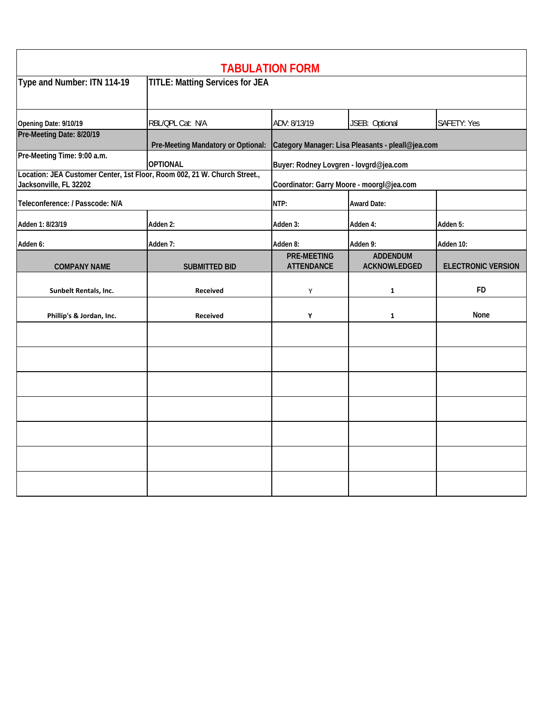| <b>TABULATION FORM</b>                                                                              |                                        |                                                   |                                 |                           |  |
|-----------------------------------------------------------------------------------------------------|----------------------------------------|---------------------------------------------------|---------------------------------|---------------------------|--|
| Type and Number: ITN 114-19                                                                         | <b>TITLE: Matting Services for JEA</b> |                                                   |                                 |                           |  |
| Opening Date: 9/10/19                                                                               | RBL/QPL Cat: N/A                       | ADV: 8/13/19                                      | JSEB: Optional                  | <b>SAFETY: Yes</b>        |  |
| Pre-Meeting Date: 8/20/19                                                                           | Pre-Meeting Mandatory or Optional:     | Category Manager: Lisa Pleasants - pleall@jea.com |                                 |                           |  |
| Pre-Meeting Time: 9:00 a.m.                                                                         | <b>OPTIONAL</b>                        | Buyer: Rodney Lovgren - lovgrd@jea.com            |                                 |                           |  |
| Location: JEA Customer Center, 1st Floor, Room 002, 21 W. Church Street.,<br>Jacksonville, FL 32202 |                                        | Coordinator: Garry Moore - moorgl@jea.com         |                                 |                           |  |
| Teleconference: / Passcode: N/A                                                                     | NTP:                                   |                                                   | <b>Award Date:</b>              |                           |  |
| Adden 1: 8/23/19                                                                                    | Adden 2:                               | Adden 3:                                          | Adden 4:                        | Adden 5:                  |  |
| Adden 6:                                                                                            | Adden 7:                               | Adden 8:                                          | Adden 9:                        | Adden 10:                 |  |
| <b>COMPANY NAME</b>                                                                                 | <b>SUBMITTED BID</b>                   | <b>PRE-MEETING</b><br><b>ATTENDANCE</b>           | <b>ADDENDUM</b><br>ACKNOWLEDGED | <b>ELECTRONIC VERSION</b> |  |
| Sunbelt Rentals, Inc.                                                                               | <b>Received</b>                        | Υ                                                 | $\mathbf{1}$                    | <b>FD</b>                 |  |
| Phillip's & Jordan, Inc.                                                                            | Received                               | Υ                                                 | $\mathbf{1}$                    | None                      |  |
|                                                                                                     |                                        |                                                   |                                 |                           |  |
|                                                                                                     |                                        |                                                   |                                 |                           |  |
|                                                                                                     |                                        |                                                   |                                 |                           |  |
|                                                                                                     |                                        |                                                   |                                 |                           |  |
|                                                                                                     |                                        |                                                   |                                 |                           |  |
|                                                                                                     |                                        |                                                   |                                 |                           |  |
|                                                                                                     |                                        |                                                   |                                 |                           |  |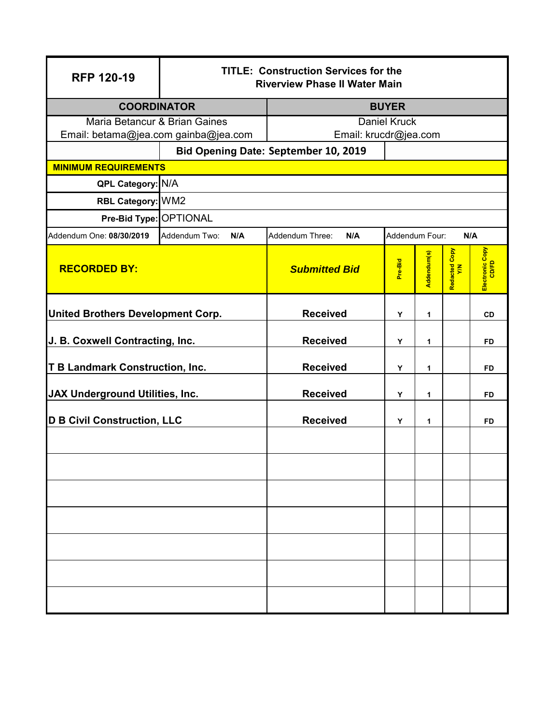| <b>RFP 120-19</b>                        | <b>TITLE: Construction Services for the</b><br><b>Riverview Phase II Water Main</b> |                        |                |             |                      |                          |  |
|------------------------------------------|-------------------------------------------------------------------------------------|------------------------|----------------|-------------|----------------------|--------------------------|--|
| <b>COORDINATOR</b>                       |                                                                                     | <b>BUYER</b>           |                |             |                      |                          |  |
| Maria Betancur & Brian Gaines            |                                                                                     | <b>Daniel Kruck</b>    |                |             |                      |                          |  |
| Email: betama@jea.com gainba@jea.com     |                                                                                     | Email: krucdr@jea.com  |                |             |                      |                          |  |
|                                          | Bid Opening Date: September 10, 2019                                                |                        |                |             |                      |                          |  |
| <b>MINIMUM REQUIREMENTS</b>              |                                                                                     |                        |                |             |                      |                          |  |
| QPL Category: N/A                        |                                                                                     |                        |                |             |                      |                          |  |
| RBL Category: WM2                        |                                                                                     |                        |                |             |                      |                          |  |
| Pre-Bid Type: OPTIONAL                   |                                                                                     |                        |                |             |                      |                          |  |
| Addendum One: 08/30/2019                 | Addendum Two:<br>N/A                                                                | Addendum Three:<br>N/A | Addendum Four: |             | N/A                  |                          |  |
| <b>RECORDED BY:</b>                      |                                                                                     | <b>Submitted Bid</b>   | Pre-Bid        | Addendum(s) | Redacted Copy<br>Y/N | Electronic Copy<br>CD/FD |  |
| <b>United Brothers Development Corp.</b> |                                                                                     | <b>Received</b>        | Y              | 1           |                      | <b>CD</b>                |  |
| J. B. Coxwell Contracting, Inc.          |                                                                                     | <b>Received</b>        | Y              | 1           |                      | <b>FD</b>                |  |
| <b>T B Landmark Construction, Inc.</b>   |                                                                                     | <b>Received</b>        | Y              | 1           |                      | <b>FD</b>                |  |
| JAX Underground Utilities, Inc.          |                                                                                     | <b>Received</b>        | Y              | 1           |                      | <b>FD</b>                |  |
| <b>D B Civil Construction, LLC</b>       |                                                                                     | <b>Received</b>        | Y              | 1           |                      | <b>FD</b>                |  |
|                                          |                                                                                     |                        |                |             |                      |                          |  |
|                                          |                                                                                     |                        |                |             |                      |                          |  |
|                                          |                                                                                     |                        |                |             |                      |                          |  |
|                                          |                                                                                     |                        |                |             |                      |                          |  |
|                                          |                                                                                     |                        |                |             |                      |                          |  |
|                                          |                                                                                     |                        |                |             |                      |                          |  |
|                                          |                                                                                     |                        |                |             |                      |                          |  |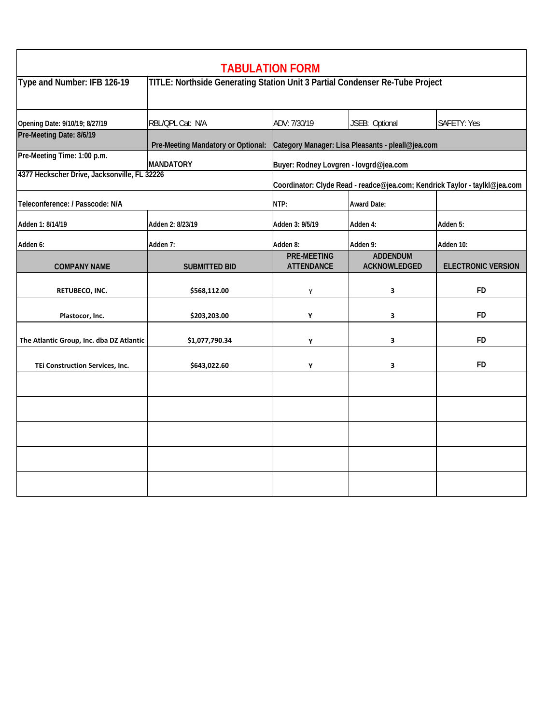| <b>SAFETY: Yes</b><br>Category Manager: Lisa Pleasants - pleall@jea.com<br>Coordinator: Clyde Read - readce@jea.com; Kendrick Taylor - taylkl@jea.com<br>Adden 5:<br>Adden 10:<br><b>ELECTRONIC VERSION</b> |
|-------------------------------------------------------------------------------------------------------------------------------------------------------------------------------------------------------------|
|                                                                                                                                                                                                             |
|                                                                                                                                                                                                             |
|                                                                                                                                                                                                             |
|                                                                                                                                                                                                             |
|                                                                                                                                                                                                             |
|                                                                                                                                                                                                             |
|                                                                                                                                                                                                             |
|                                                                                                                                                                                                             |
| <b>FD</b>                                                                                                                                                                                                   |
| <b>FD</b>                                                                                                                                                                                                   |
| <b>FD</b>                                                                                                                                                                                                   |
| <b>FD</b>                                                                                                                                                                                                   |
|                                                                                                                                                                                                             |
|                                                                                                                                                                                                             |
|                                                                                                                                                                                                             |
|                                                                                                                                                                                                             |
|                                                                                                                                                                                                             |
|                                                                                                                                                                                                             |